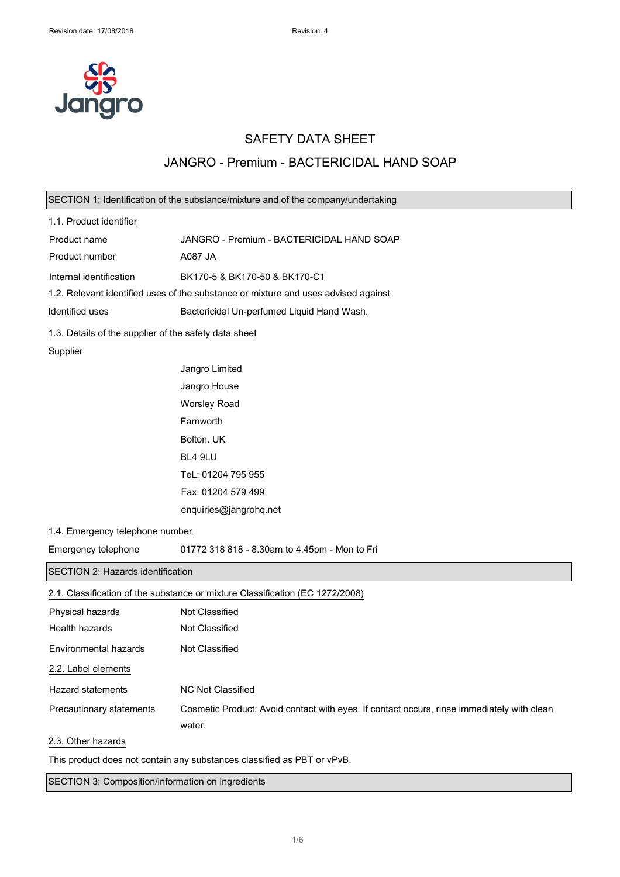

## SAFETY DATA SHEET

### JANGRO - Premium - BACTERICIDAL HAND SOAP

|                                                                         | SECTION 1: Identification of the substance/mixture and of the company/undertaking                    |
|-------------------------------------------------------------------------|------------------------------------------------------------------------------------------------------|
| 1.1. Product identifier                                                 |                                                                                                      |
| Product name                                                            | JANGRO - Premium - BACTERICIDAL HAND SOAP                                                            |
| Product number                                                          | A087 JA                                                                                              |
| Internal identification                                                 | BK170-5 & BK170-50 & BK170-C1                                                                        |
|                                                                         | 1.2. Relevant identified uses of the substance or mixture and uses advised against                   |
| Identified uses                                                         | Bactericidal Un-perfumed Liquid Hand Wash.                                                           |
| 1.3. Details of the supplier of the safety data sheet                   |                                                                                                      |
| Supplier                                                                |                                                                                                      |
|                                                                         | Jangro Limited                                                                                       |
|                                                                         | Jangro House                                                                                         |
|                                                                         | <b>Worsley Road</b>                                                                                  |
|                                                                         | Farnworth                                                                                            |
|                                                                         | Bolton. UK                                                                                           |
|                                                                         | BL4 9LU                                                                                              |
|                                                                         | TeL: 01204 795 955                                                                                   |
|                                                                         | Fax: 01204 579 499                                                                                   |
|                                                                         | enquiries@jangrohq.net                                                                               |
| 1.4. Emergency telephone number                                         |                                                                                                      |
| Emergency telephone                                                     | 01772 318 818 - 8.30am to 4.45pm - Mon to Fri                                                        |
| SECTION 2: Hazards identification                                       |                                                                                                      |
|                                                                         | 2.1. Classification of the substance or mixture Classification (EC 1272/2008)                        |
| Physical hazards                                                        | Not Classified                                                                                       |
| <b>Health hazards</b>                                                   | Not Classified                                                                                       |
| Environmental hazards                                                   | Not Classified                                                                                       |
| 2.2. Label elements                                                     |                                                                                                      |
| <b>Hazard statements</b>                                                | NC Not Classified                                                                                    |
| Precautionary statements                                                | Cosmetic Product: Avoid contact with eyes. If contact occurs, rinse immediately with clean<br>water. |
| 2.3. Other hazards                                                      |                                                                                                      |
| This product does not contain any substances classified as PBT or vPvB. |                                                                                                      |

SECTION 3: Composition/information on ingredients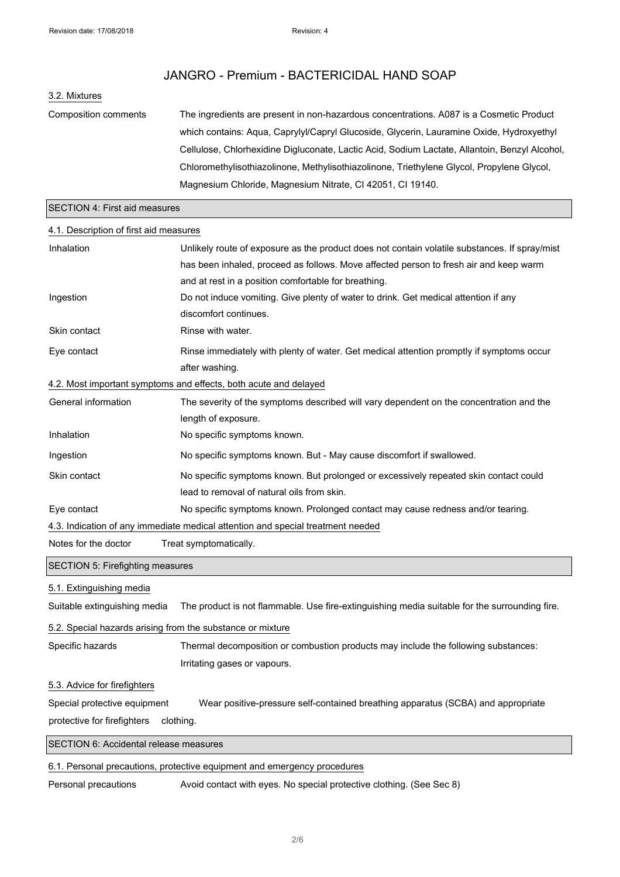### 3.2. Mixtures

Composition comments The ingredients are present in non-hazardous concentrations. A087 is a Cosmetic Product which contains: Aqua, Caprylyl/Capryl Glucoside, Glycerin, Lauramine Oxide, Hydroxyethyl Cellulose, Chlorhexidine Digluconate, Lactic Acid, Sodium Lactate, Allantoin, Benzyl Alcohol, Chloromethylisothiazolinone, Methylisothiazolinone, Triethylene Glycol, Propylene Glycol, Magnesium Chloride, Magnesium Nitrate, CI 42051, CI 19140.

#### SECTION 4: First aid measures

#### 4.1. Description of first aid measures

| Inhalation                                                                      | Unlikely route of exposure as the product does not contain volatile substances. If spray/mist |
|---------------------------------------------------------------------------------|-----------------------------------------------------------------------------------------------|
|                                                                                 | has been inhaled, proceed as follows. Move affected person to fresh air and keep warm         |
|                                                                                 | and at rest in a position comfortable for breathing.                                          |
| Ingestion                                                                       | Do not induce vomiting. Give plenty of water to drink. Get medical attention if any           |
|                                                                                 | discomfort continues.                                                                         |
| Skin contact                                                                    | Rinse with water.                                                                             |
| Eye contact                                                                     | Rinse immediately with plenty of water. Get medical attention promptly if symptoms occur      |
|                                                                                 | after washing.                                                                                |
| 4.2. Most important symptoms and effects, both acute and delayed                |                                                                                               |
| General information                                                             | The severity of the symptoms described will vary dependent on the concentration and the       |
|                                                                                 | length of exposure.                                                                           |
| Inhalation                                                                      | No specific symptoms known.                                                                   |
| Ingestion                                                                       | No specific symptoms known. But - May cause discomfort if swallowed.                          |
| Skin contact                                                                    | No specific symptoms known. But prolonged or excessively repeated skin contact could          |
|                                                                                 | lead to removal of natural oils from skin.                                                    |
| Eye contact                                                                     | No specific symptoms known. Prolonged contact may cause redness and/or tearing.               |
| 4.3. Indication of any immediate medical attention and special treatment needed |                                                                                               |
| Notes for the doctor                                                            | Treat symptomatically.                                                                        |

### SECTION 5: Firefighting measures

5.1. Extinguishing media

Suitable extinguishing media The product is not flammable. Use fire-extinguishing media suitable for the surrounding fire.

#### 5.2. Special hazards arising from the substance or mixture

Specific hazards Thermal decomposition or combustion products may include the following substances: Irritating gases or vapours.

#### 5.3. Advice for firefighters

Special protective equipment Wear positive-pressure self-contained breathing apparatus (SCBA) and appropriate protective for firefighters clothing.

SECTION 6: Accidental release measures

### 6.1. Personal precautions, protective equipment and emergency procedures

Personal precautions Avoid contact with eyes. No special protective clothing. (See Sec 8)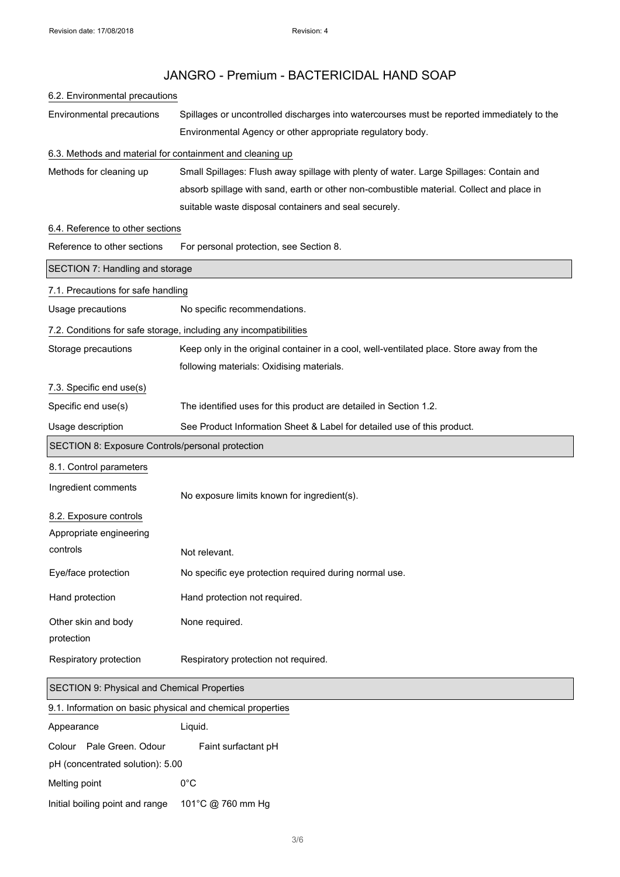# 6.2. Environmental precautions

Environmental precautions Spillages or uncontrolled discharges into watercourses must be reported immediately to the Environmental Agency or other appropriate regulatory body.

### 6.3. Methods and material for containment and cleaning up

Methods for cleaning up Small Spillages: Flush away spillage with plenty of water. Large Spillages: Contain and absorb spillage with sand, earth or other non-combustible material. Collect and place in suitable waste disposal containers and seal securely.

### 6.4. Reference to other sections

| Reference to other sections                                | For personal protection, see Section 8.                                                   |  |
|------------------------------------------------------------|-------------------------------------------------------------------------------------------|--|
| SECTION 7: Handling and storage                            |                                                                                           |  |
| 7.1. Precautions for safe handling                         |                                                                                           |  |
| Usage precautions                                          | No specific recommendations.                                                              |  |
|                                                            | 7.2. Conditions for safe storage, including any incompatibilities                         |  |
| Storage precautions                                        | Keep only in the original container in a cool, well-ventilated place. Store away from the |  |
|                                                            | following materials: Oxidising materials.                                                 |  |
| 7.3. Specific end use(s)                                   |                                                                                           |  |
| Specific end use(s)                                        | The identified uses for this product are detailed in Section 1.2.                         |  |
| Usage description                                          | See Product Information Sheet & Label for detailed use of this product.                   |  |
| SECTION 8: Exposure Controls/personal protection           |                                                                                           |  |
| 8.1. Control parameters                                    |                                                                                           |  |
| Ingredient comments                                        | No exposure limits known for ingredient(s).                                               |  |
| 8.2. Exposure controls                                     |                                                                                           |  |
| Appropriate engineering                                    |                                                                                           |  |
| controls                                                   | Not relevant.                                                                             |  |
| Eye/face protection                                        | No specific eye protection required during normal use.                                    |  |
| Hand protection                                            | Hand protection not required.                                                             |  |
| Other skin and body                                        | None required.                                                                            |  |
| protection                                                 |                                                                                           |  |
| Respiratory protection                                     | Respiratory protection not required.                                                      |  |
| SECTION 9: Physical and Chemical Properties                |                                                                                           |  |
| 9.1. Information on basic physical and chemical properties |                                                                                           |  |
|                                                            |                                                                                           |  |

| Appearance                       |                          | Liguid.             |  |
|----------------------------------|--------------------------|---------------------|--|
|                                  | Colour Pale Green, Odour | Faint surfactant pH |  |
| pH (concentrated solution): 5.00 |                          |                     |  |
| Melting point                    |                          | 0°C                 |  |
| Initial boiling point and range  |                          | 101°C @ 760 mm Hg   |  |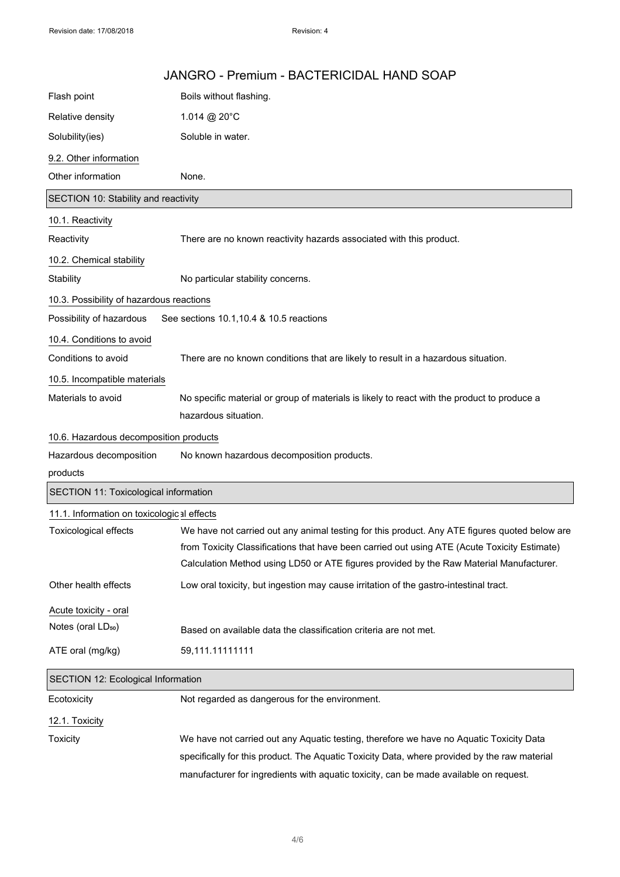|                                            | JANGRO - Premium - BACTERICIDAL HAND SOAP                                                                                                                                                                                                                                                |
|--------------------------------------------|------------------------------------------------------------------------------------------------------------------------------------------------------------------------------------------------------------------------------------------------------------------------------------------|
| Flash point                                | Boils without flashing.                                                                                                                                                                                                                                                                  |
| Relative density                           | 1.014 @ 20°C                                                                                                                                                                                                                                                                             |
| Solubility(ies)                            | Soluble in water.                                                                                                                                                                                                                                                                        |
| 9.2. Other information                     |                                                                                                                                                                                                                                                                                          |
| Other information                          | None.                                                                                                                                                                                                                                                                                    |
| SECTION 10: Stability and reactivity       |                                                                                                                                                                                                                                                                                          |
| 10.1. Reactivity                           |                                                                                                                                                                                                                                                                                          |
| Reactivity                                 | There are no known reactivity hazards associated with this product.                                                                                                                                                                                                                      |
| 10.2. Chemical stability                   |                                                                                                                                                                                                                                                                                          |
| Stability                                  | No particular stability concerns.                                                                                                                                                                                                                                                        |
| 10.3. Possibility of hazardous reactions   |                                                                                                                                                                                                                                                                                          |
| Possibility of hazardous                   | See sections 10.1, 10.4 & 10.5 reactions                                                                                                                                                                                                                                                 |
| 10.4. Conditions to avoid                  |                                                                                                                                                                                                                                                                                          |
| Conditions to avoid                        | There are no known conditions that are likely to result in a hazardous situation.                                                                                                                                                                                                        |
| 10.5. Incompatible materials               |                                                                                                                                                                                                                                                                                          |
| Materials to avoid                         | No specific material or group of materials is likely to react with the product to produce a                                                                                                                                                                                              |
|                                            | hazardous situation.                                                                                                                                                                                                                                                                     |
| 10.6. Hazardous decomposition products     |                                                                                                                                                                                                                                                                                          |
| Hazardous decomposition                    | No known hazardous decomposition products.                                                                                                                                                                                                                                               |
| products                                   |                                                                                                                                                                                                                                                                                          |
| SECTION 11: Toxicological information      |                                                                                                                                                                                                                                                                                          |
| 11.1. Information on toxicological effects |                                                                                                                                                                                                                                                                                          |
| <b>Toxicological effects</b>               | We have not carried out any animal testing for this product. Any ATE figures quoted below are<br>from Toxicity Classifications that have been carried out using ATE (Acute Toxicity Estimate)<br>Calculation Method using LD50 or ATE figures provided by the Raw Material Manufacturer. |
| Other health effects                       | Low oral toxicity, but ingestion may cause irritation of the gastro-intestinal tract.                                                                                                                                                                                                    |
| Acute toxicity - oral                      |                                                                                                                                                                                                                                                                                          |
| Notes (oral LD <sub>50</sub> )             | Based on available data the classification criteria are not met.                                                                                                                                                                                                                         |
| ATE oral (mg/kg)                           | 59,111.11111111                                                                                                                                                                                                                                                                          |
| SECTION 12: Ecological Information         |                                                                                                                                                                                                                                                                                          |
| Ecotoxicity                                | Not regarded as dangerous for the environment.                                                                                                                                                                                                                                           |
| 12.1. Toxicity                             |                                                                                                                                                                                                                                                                                          |
| Toxicity                                   | We have not carried out any Aquatic testing, therefore we have no Aquatic Toxicity Data                                                                                                                                                                                                  |
|                                            | specifically for this product. The Aquatic Toxicity Data, where provided by the raw material                                                                                                                                                                                             |
|                                            | manufacturer for ingredients with aquatic toxicity, can be made available on request.                                                                                                                                                                                                    |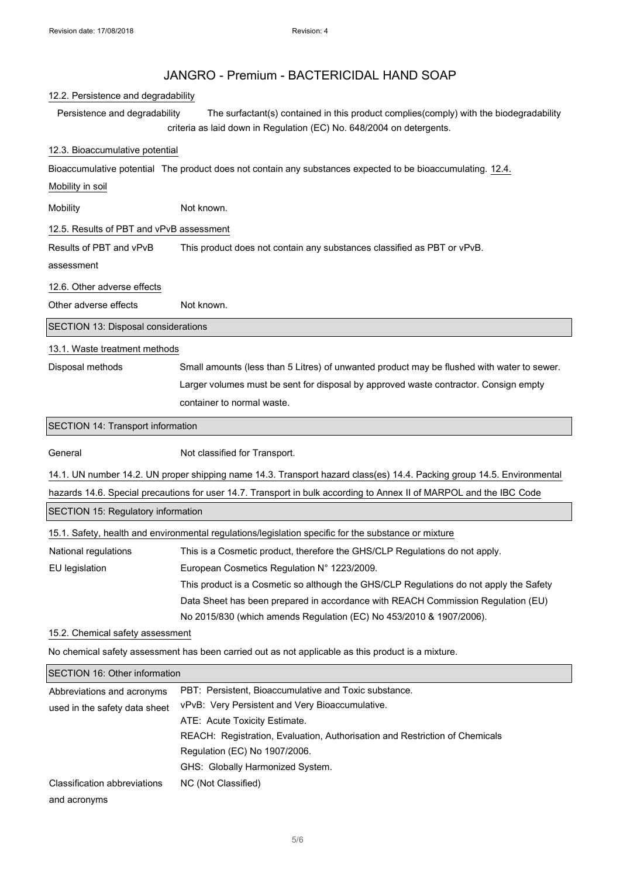### 12.2. Persistence and degradability

Persistence and degradability The surfactant(s) contained in this product complies(comply) with the biodegradability criteria as laid down in Regulation (EC) No. 648/2004 on detergents.

### 12.3. Bioaccumulative potential

Bioaccumulative potential The product does not contain any substances expected to be bioaccumulating. 12.4.

Mobility in soil

Mobility **Not known.** 

12.5. Results of PBT and vPvB assessment

Results of PBT and vPvB This product does not contain any substances classified as PBT or vPvB.

assessment

12.6. Other adverse effects

Other adverse effects Not known.

SECTION 13: Disposal considerations

### 13.1. Waste treatment methods

Disposal methods Small amounts (less than 5 Litres) of unwanted product may be flushed with water to sewer. Larger volumes must be sent for disposal by approved waste contractor. Consign empty container to normal waste.

SECTION 14: Transport information

General Not classified for Transport.

14.1. UN number 14.2. UN proper shipping name 14.3. Transport hazard class(es) 14.4. Packing group 14.5. Environmental

hazards 14.6. Special precautions for user 14.7. Transport in bulk according to Annex II of MARPOL and the IBC Code

SECTION 15: Regulatory information

|                      | 15.1. Safety, health and environmental regulations/legislation specific for the substance or mixture |
|----------------------|------------------------------------------------------------------------------------------------------|
| National regulations | This is a Cosmetic product, therefore the GHS/CLP Regulations do not apply.                          |
| EU legislation       | European Cosmetics Regulation N° 1223/2009.                                                          |
|                      | This product is a Cosmetic so although the GHS/CLP Regulations do not apply the Safety               |
|                      | Data Sheet has been prepared in accordance with REACH Commission Regulation (EU)                     |
|                      | No 2015/830 (which amends Regulation (EC) No 453/2010 & 1907/2006).                                  |

#### 15.2. Chemical safety assessment

No chemical safety assessment has been carried out as not applicable as this product is a mixture.

| <b>SECTION 16: Other information</b> |                                                                             |  |
|--------------------------------------|-----------------------------------------------------------------------------|--|
| Abbreviations and acronyms           | PBT: Persistent, Bioaccumulative and Toxic substance.                       |  |
| used in the safety data sheet        | vPvB: Very Persistent and Very Bioaccumulative.                             |  |
|                                      | ATE: Acute Toxicity Estimate.                                               |  |
|                                      | REACH: Registration, Evaluation, Authorisation and Restriction of Chemicals |  |
|                                      | Regulation (EC) No 1907/2006.                                               |  |
|                                      | GHS: Globally Harmonized System.                                            |  |
| Classification abbreviations         | NC (Not Classified)                                                         |  |
| and acronyms                         |                                                                             |  |